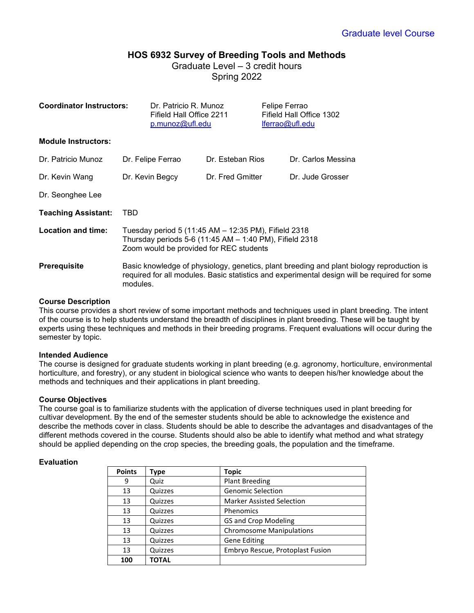# **HOS 6932 Survey of Breeding Tools and Methods** Graduate Level – 3 credit hours

Spring 2022

| <b>Coordinator Instructors:</b> | Dr. Patricio R. Munoz<br>Fifield Hall Office 2211<br>p.munoz@ufl.edu                                                                                                                                  |                  | Felipe Ferrao<br>lferrao@ufl.edu | Fifield Hall Office 1302 |  |
|---------------------------------|-------------------------------------------------------------------------------------------------------------------------------------------------------------------------------------------------------|------------------|----------------------------------|--------------------------|--|
| <b>Module Instructors:</b>      |                                                                                                                                                                                                       |                  |                                  |                          |  |
| Dr. Patricio Munoz              | Dr. Felipe Ferrao                                                                                                                                                                                     | Dr. Esteban Rios |                                  | Dr. Carlos Messina       |  |
| Dr. Kevin Wang                  | Dr. Kevin Begcy                                                                                                                                                                                       | Dr. Fred Gmitter |                                  | Dr. Jude Grosser         |  |
| Dr. Seonghee Lee                |                                                                                                                                                                                                       |                  |                                  |                          |  |
| <b>Teaching Assistant:</b>      | TBD                                                                                                                                                                                                   |                  |                                  |                          |  |
| Location and time:              | Tuesday period 5 (11:45 AM - 12:35 PM), Fifield 2318<br>Thursday periods 5-6 (11:45 AM - 1:40 PM), Fifield 2318<br>Zoom would be provided for REC students                                            |                  |                                  |                          |  |
| <b>Prerequisite</b>             | Basic knowledge of physiology, genetics, plant breeding and plant biology reproduction is<br>required for all modules. Basic statistics and experimental design will be required for some<br>modules. |                  |                                  |                          |  |

## **Course Description**

This course provides a short review of some important methods and techniques used in plant breeding. The intent of the course is to help students understand the breadth of disciplines in plant breeding. These will be taught by experts using these techniques and methods in their breeding programs. Frequent evaluations will occur during the semester by topic.

## **Intended Audience**

The course is designed for graduate students working in plant breeding (e.g. agronomy, horticulture, environmental horticulture, and forestry), or any student in biological science who wants to deepen his/her knowledge about the methods and techniques and their applications in plant breeding.

## **Course Objectives**

The course goal is to familiarize students with the application of diverse techniques used in plant breeding for cultivar development. By the end of the semester students should be able to acknowledge the existence and describe the methods cover in class. Students should be able to describe the advantages and disadvantages of the different methods covered in the course. Students should also be able to identify what method and what strategy should be applied depending on the crop species, the breeding goals, the population and the timeframe.

## **Evaluation**

| <b>Points</b> | Type         | <b>Topic</b>                     |
|---------------|--------------|----------------------------------|
| 9             | Quiz         | <b>Plant Breeding</b>            |
| 13            | Quizzes      | <b>Genomic Selection</b>         |
| 13            | Quizzes      | <b>Marker Assisted Selection</b> |
| 13            | Quizzes      | Phenomics                        |
| 13            | Quizzes      | <b>GS and Crop Modeling</b>      |
| 13            | Quizzes      | <b>Chromosome Manipulations</b>  |
| 13            | Quizzes      | <b>Gene Editing</b>              |
| 13            | Quizzes      | Embryo Rescue, Protoplast Fusion |
| 100           | <b>TOTAL</b> |                                  |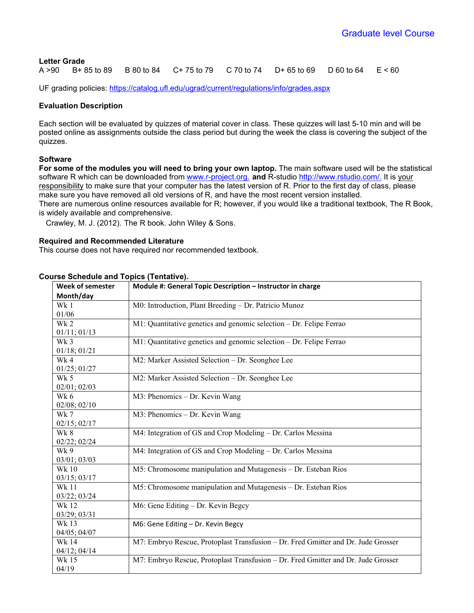## **Letter Grade**

A >90 B+ 85 to 89 B 80 to 84 C+ 75 to 79 C 70 to 74 D+ 65 to 69 D 60 to 64 E < 60

UF grading policies:<https://catalog.ufl.edu/ugrad/current/regulations/info/grades.aspx>

## **Evaluation Description**

Each section will be evaluated by quizzes of material cover in class. These quizzes will last 5-10 min and will be posted online as assignments outside the class period but during the week the class is covering the subject of the quizzes.

## **Software**

**For some of the modules you will need to bring your own laptop.** The main software used will be the statistical software R which can be downloaded from [www.r-project.org.](http://www.r-project.org/) **and** R-studio [http://www.rstudio.com/.](http://www.rstudio.com/) It is your responsibility to make sure that your computer has the latest version of R. Prior to the first day of class, please make sure you have removed all old versions of R, and have the most recent version installed. There are numerous online resources available for R; however, if you would like a traditional textbook, The R Book, is widely available and comprehensive.

Crawley, M. J. (2012). The R book. John Wiley & Sons.

## **Required and Recommended Literature**

This course does not have required nor recommended textbook.

| <b>Week of semester</b> | Module #: General Topic Description - Instructor in charge                        |  |  |
|-------------------------|-----------------------------------------------------------------------------------|--|--|
| Month/day               |                                                                                   |  |  |
| Wk 1                    | M0: Introduction, Plant Breeding - Dr. Patricio Munoz                             |  |  |
| 01/06                   |                                                                                   |  |  |
| Wk 2                    | M1: Quantitative genetics and genomic selection - Dr. Felipe Ferrao               |  |  |
| 01/11; 01/13            |                                                                                   |  |  |
| Wk <sub>3</sub>         | M1: Quantitative genetics and genomic selection - Dr. Felipe Ferrao               |  |  |
| 01/18; 01/21            |                                                                                   |  |  |
| Wk 4                    | M2: Marker Assisted Selection - Dr. Seonghee Lee                                  |  |  |
| 01/25; 01/27            |                                                                                   |  |  |
| Wk 5                    | M2: Marker Assisted Selection - Dr. Seonghee Lee                                  |  |  |
| 02/01; 02/03            |                                                                                   |  |  |
| Wk 6                    | M3: Phenomics - Dr. Kevin Wang                                                    |  |  |
| $02/08$ ; $02/10$       |                                                                                   |  |  |
| Wk 7                    | M3: Phenomics - Dr. Kevin Wang                                                    |  |  |
| $02/15$ ; $02/17$       |                                                                                   |  |  |
| Wk 8                    | M4: Integration of GS and Crop Modeling - Dr. Carlos Messina                      |  |  |
| 02/22; 02/24            |                                                                                   |  |  |
| Wk 9                    | M4: Integration of GS and Crop Modeling – Dr. Carlos Messina                      |  |  |
| 03/01; 03/03            |                                                                                   |  |  |
| Wk 10                   | M5: Chromosome manipulation and Mutagenesis - Dr. Esteban Rios                    |  |  |
| 03/15; 03/17            |                                                                                   |  |  |
| <b>Wk 11</b>            | M5: Chromosome manipulation and Mutagenesis - Dr. Esteban Rios                    |  |  |
| 03/22; 03/24            |                                                                                   |  |  |
| Wk 12                   | M6: Gene Editing - Dr. Kevin Begcy                                                |  |  |
| 03/29; 03/31            |                                                                                   |  |  |
| Wk 13                   | M6: Gene Editing - Dr. Kevin Begcy                                                |  |  |
| 04/05; 04/07            |                                                                                   |  |  |
| Wk 14                   | M7: Embryo Rescue, Protoplast Transfusion - Dr. Fred Gmitter and Dr. Jude Grosser |  |  |
| 04/12; 04/14            |                                                                                   |  |  |
| Wk 15                   | M7: Embryo Rescue, Protoplast Transfusion - Dr. Fred Gmitter and Dr. Jude Grosser |  |  |
| 04/19                   |                                                                                   |  |  |

## **Course Schedule and Topics (Tentative).**